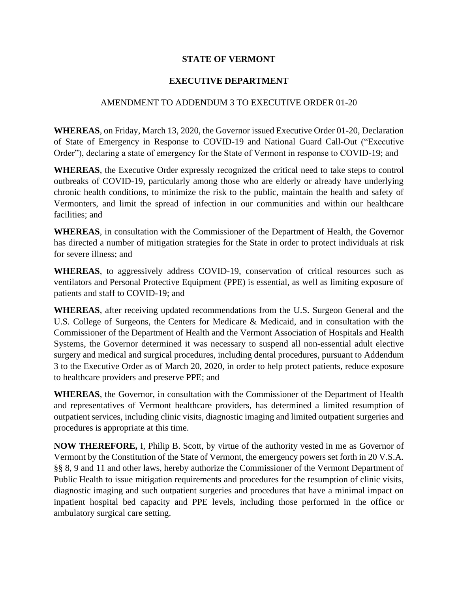## **STATE OF VERMONT**

## **EXECUTIVE DEPARTMENT**

## AMENDMENT TO ADDENDUM 3 TO EXECUTIVE ORDER 01-20

**WHEREAS**, on Friday, March 13, 2020, the Governor issued Executive Order 01-20, Declaration of State of Emergency in Response to COVID-19 and National Guard Call-Out ("Executive Order"), declaring a state of emergency for the State of Vermont in response to COVID-19; and

**WHEREAS**, the Executive Order expressly recognized the critical need to take steps to control outbreaks of COVID-19, particularly among those who are elderly or already have underlying chronic health conditions, to minimize the risk to the public, maintain the health and safety of Vermonters, and limit the spread of infection in our communities and within our healthcare facilities; and

**WHEREAS**, in consultation with the Commissioner of the Department of Health, the Governor has directed a number of mitigation strategies for the State in order to protect individuals at risk for severe illness; and

**WHEREAS**, to aggressively address COVID-19, conservation of critical resources such as ventilators and Personal Protective Equipment (PPE) is essential, as well as limiting exposure of patients and staff to COVID-19; and

**WHEREAS**, after receiving updated recommendations from the U.S. Surgeon General and the U.S. College of Surgeons, the Centers for Medicare & Medicaid, and in consultation with the Commissioner of the Department of Health and the Vermont Association of Hospitals and Health Systems, the Governor determined it was necessary to suspend all non-essential adult elective surgery and medical and surgical procedures, including dental procedures, pursuant to Addendum 3 to the Executive Order as of March 20, 2020, in order to help protect patients, reduce exposure to healthcare providers and preserve PPE; and

**WHEREAS**, the Governor, in consultation with the Commissioner of the Department of Health and representatives of Vermont healthcare providers, has determined a limited resumption of outpatient services, including clinic visits, diagnostic imaging and limited outpatient surgeries and procedures is appropriate at this time.

**NOW THEREFORE,** I, Philip B. Scott, by virtue of the authority vested in me as Governor of Vermont by the Constitution of the State of Vermont, the emergency powers set forth in 20 V.S.A. §§ 8, 9 and 11 and other laws, hereby authorize the Commissioner of the Vermont Department of Public Health to issue mitigation requirements and procedures for the resumption of clinic visits, diagnostic imaging and such outpatient surgeries and procedures that have a minimal impact on inpatient hospital bed capacity and PPE levels, including those performed in the office or ambulatory surgical care setting.